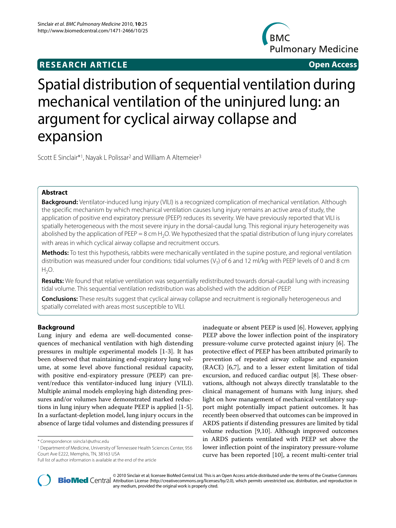## **RESEARCH ARTICLE Open Access**



# Spatial distribution of sequential ventilation during mechanical ventilation of the uninjured lung: an argument for cyclical airway collapse and expansion

Scott E Sinclair<sup>\*1</sup>, Nayak L Polissar<sup>2</sup> and William A Altemeier<sup>3</sup>

## **Abstract**

**Background:** Ventilator-induced lung injury (VILI) is a recognized complication of mechanical ventilation. Although the specific mechanism by which mechanical ventilation causes lung injury remains an active area of study, the application of positive end expiratory pressure (PEEP) reduces its severity. We have previously reported that VILI is spatially heterogeneous with the most severe injury in the dorsal-caudal lung. This regional injury heterogeneity was abolished by the application of PEEP = 8 cm H<sub>2</sub>O. We hypothesized that the spatial distribution of lung injury correlates with areas in which cyclical airway collapse and recruitment occurs.

**Methods:** To test this hypothesis, rabbits were mechanically ventilated in the supine posture, and regional ventilation distribution was measured under four conditions: tidal volumes ( $V_T$ ) of 6 and 12 ml/kg with PEEP levels of 0 and 8 cm  $H_2O$ .

**Results:** We found that relative ventilation was sequentially redistributed towards dorsal-caudal lung with increasing tidal volume. This sequential ventilation redistribution was abolished with the addition of PEEP.

**Conclusions:** These results suggest that cyclical airway collapse and recruitment is regionally heterogeneous and spatially correlated with areas most susceptible to VILI.

## **Background**

Lung injury and edema are well-documented consequences of mechanical ventilation with high distending pressures in multiple experimental models [[1-](#page-7-0)[3](#page-7-1)]. It has been observed that maintaining end-expiratory lung volume, at some level above functional residual capacity, with positive end-expiratory pressure (PEEP) can prevent/reduce this ventilator-induced lung injury (VILI). Multiple animal models employing high distending pressures and/or volumes have demonstrated marked reductions in lung injury when adequate PEEP is applied [[1-](#page-7-0)[5](#page-7-2)]. In a surfactant-depletion model, lung injury occurs in the absence of large tidal volumes and distending pressures if

1 Department of Medicine, University of Tennessee Health Sciences Center, 956 Court Ave E222, Memphis, TN, 38163 USA

inadequate or absent PEEP is used [\[6](#page-7-3)]. However, applying PEEP above the lower inflection point of the inspiratory pressure-volume curve protected against injury [[6\]](#page-7-3). The protective effect of PEEP has been attributed primarily to prevention of repeated airway collapse and expansion (RACE) [\[6](#page-7-3)[,7](#page-7-4)], and to a lesser extent limitation of tidal excursion, and reduced cardiac output [\[8](#page-7-5)]. These observations, although not always directly translatable to the clinical management of humans with lung injury, shed light on how management of mechanical ventilatory support might potentially impact patient outcomes. It has recently been observed that outcomes can be improved in ARDS patients if distending pressures are limited by tidal volume reduction [\[9](#page-7-6)[,10](#page-7-7)]. Although improved outcomes in ARDS patients ventilated with PEEP set above the lower inflection point of the inspiratory pressure-volume curve has been reported [[10\]](#page-7-7), a recent multi-center trial



2010 Sinclair et al; licensee [BioMed](http://www.biomedcentral.com/) Central Ltd. This is an Open Access article distributed under the terms of the Creative Commons (http://creativecommons.org/licenses/by/2.0), which permits unrestricted use, distributio any medium, provided the original work is properly cited.

<sup>\*</sup> Correspondence: ssincla1@uthsc.edu

Full list of author information is available at the end of the article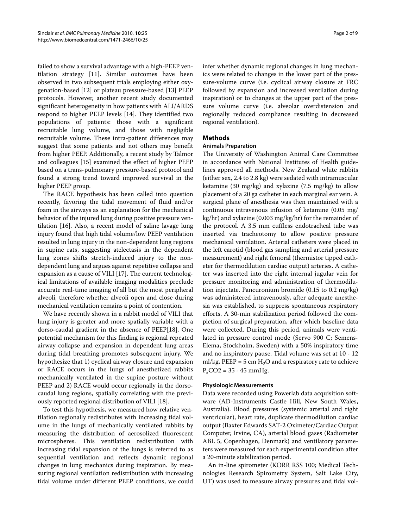failed to show a survival advantage with a high-PEEP ventilation strategy [[11\]](#page-7-8). Similar outcomes have been observed in two subsequent trials employing either oxygenation-based [\[12\]](#page-7-9) or plateau pressure-based [\[13](#page-7-10)] PEEP protocols. However, another recent study documented significant heterogeneity in how patients with ALI/ARDS respond to higher PEEP levels [[14\]](#page-7-11). They identified two populations of patients: those with a significant recruitable lung volume, and those with negligible recruitable volume. These intra-patient differences may suggest that some patients and not others may benefit from higher PEEP. Additionally, a recent study by Talmor and colleagues [\[15](#page-7-12)] examined the effect of higher PEEP based on a trans-pulmonary pressure-based protocol and found a strong trend toward improved survival in the higher PEEP group.

The RACE hypothesis has been called into question recently, favoring the tidal movement of fluid and/or foam in the airways as an explanation for the mechanical behavior of the injured lung during positive pressure ventilation [\[16\]](#page-7-13). Also, a recent model of saline lavage lung injury found that high tidal volume/low PEEP ventilation resulted in lung injury in the non-dependent lung regions in supine rats, suggesting atelectasis in the dependent lung zones shifts stretch-induced injury to the nondependent lung and argues against repetitive collapse and expansion as a cause of VILI [[17](#page-7-14)]. The current technological limitations of available imaging modalities preclude accurate real-time imaging of all but the most peripheral alveoli, therefore whether alveoli open and close during mechanical ventilation remains a point of contention.

We have recently shown in a rabbit model of VILI that lung injury is greater and more spatially variable with a dorso-caudal gradient in the absence of PEEP[[18\]](#page-7-15). One potential mechanism for this finding is regional repeated airway collapse and expansion in dependent lung areas during tidal breathing promotes subsequent injury. We hypothesize that 1) cyclical airway closure and expansion or RACE occurs in the lungs of anesthetized rabbits mechanically ventilated in the supine posture without PEEP and 2) RACE would occur regionally in the dorsocaudal lung regions, spatially correlating with the previously reported regional distribution of VILI [\[18](#page-7-15)].

To test this hypothesis, we measured how relative ventilation regionally redistributes with increasing tidal volume in the lungs of mechanically ventilated rabbits by measuring the distribution of aerosolized fluorescent microspheres. This ventilation redistribution with increasing tidal expansion of the lungs is referred to as sequential ventilation and reflects dynamic regional changes in lung mechanics during inspiration. By measuring regional ventilation redistribution with increasing tidal volume under different PEEP conditions, we could infer whether dynamic regional changes in lung mechanics were related to changes in the lower part of the pressure-volume curve (i.e. cyclical airway closure at FRC followed by expansion and increased ventilation during inspiration) or to changes at the upper part of the pressure volume curve (i.e. alveolar overdistension and regionally reduced compliance resulting in decreased regional ventilation).

## **Methods**

## **Animals Preparation**

The University of Washington Animal Care Committee in accordance with National Institutes of Health guidelines approved all methods. New Zealand white rabbits (either sex, 2.4 to 2.8 kg) were sedated with intramuscular ketamine (30 mg/kg) and xylazine (7.5 mg/kg) to allow placement of a 20 ga catheter in each marginal ear vein. A surgical plane of anesthesia was then maintained with a continuous intravenous infusion of ketamine (0.05 mg/ kg/hr) and xylazine (0.003 mg/kg/hr) for the remainder of the protocol. A 3.5 mm cuffless endotracheal tube was inserted via tracheotomy to allow positive pressure mechanical ventilation. Arterial catheters were placed in the left carotid (blood gas sampling and arterial pressure measurement) and right femoral (thermistor tipped catheter for thermodilution cardiac output) arteries. A catheter was inserted into the right internal jugular vein for pressure monitoring and administration of thermodilution injectate. Pancuronium bromide (0.15 to 0.2 mg/kg) was administered intravenously, after adequate anesthesia was established, to suppress spontaneous respiratory efforts. A 30-min stabilization period followed the completion of surgical preparation, after which baseline data were collected. During this period, animals were ventilated in pressure control mode (Servo 900 C; Semens-Elema, Stockholm, Sweden) with a 50% inspiratory time and no inspiratory pause. Tidal volume was set at 10 - 12 ml/kg, PEEP = 5 cm  $H_2O$  and a respiratory rate to achieve  $P_{\rm s}$ CO2 = 35 - 45 mmHg.

#### **Physiologic Measurements**

Data were recorded using Powerlab data acquisition software (AD-Instruments Castle Hill, New South Wales, Australia). Blood pressures (systemic arterial and right ventricular), heart rate, duplicate thermodilution cardiac output (Baxter Edwards SAT-2 Oximeter/Cardiac Output Computer, Irvine, CA), arterial blood gases (Radiometer ABL 5, Copenhagen, Denmark) and ventilatory parameters were measured for each experimental condition after a 20-minute stabilization period.

An in-line spirometer (KORR RSS 100; Medical Technologies Research Spirometry System, Salt Lake City, UT) was used to measure airway pressures and tidal vol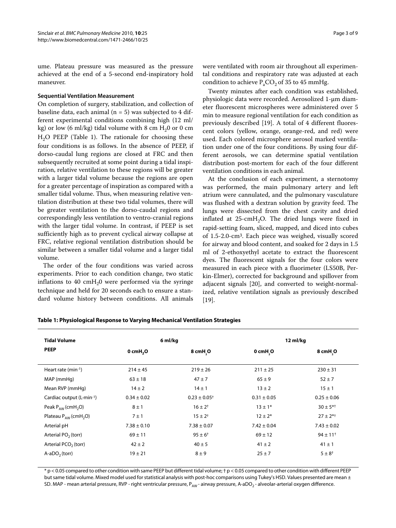ume. Plateau pressure was measured as the pressure achieved at the end of a 5-second end-inspiratory hold maneuver.

#### **Sequential Ventilation Measurement**

On completion of surgery, stabilization, and collection of baseline data, each animal ( $n = 5$ ) was subjected to 4 different experimental conditions combining high (12 ml/ kg) or low (6 ml/kg) tidal volume with 8 cm  $H<sub>2</sub>0$  or 0 cm  $H<sub>2</sub>O$  PEEP (Table 1). The rationale for choosing these four conditions is as follows. In the absence of PEEP, if dorso-caudal lung regions are closed at FRC and then subsequently recruited at some point during a tidal inspiration, relative ventilation to these regions will be greater with a larger tidal volume because the regions are open for a greater percentage of inspiration as compared with a smaller tidal volume. Thus, when measuring relative ventilation distribution at these two tidal volumes, there will be greater ventilation to the dorso-caudal regions and correspondingly less ventilation to ventro-cranial regions with the larger tidal volume. In contrast, if PEEP is set sufficiently high as to prevent cyclical airway collapse at FRC, relative regional ventilation distribution should be similar between a smaller tidal volume and a larger tidal volume.

The order of the four conditions was varied across experiments. Prior to each condition change, two static inflations to 40 cm $H<sub>2</sub>0$  were performed via the syringe technique and held for 20 seconds each to ensure a standard volume history between conditions. All animals were ventilated with room air throughout all experimental conditions and respiratory rate was adjusted at each condition to achieve  $P_{a}CO_{2}$  of 35 to 45 mmHg.

Twenty minutes after each condition was established, physiologic data were recorded. Aerosolized 1-μm diameter fluorescent microspheres were administered over 5 min to measure regional ventilation for each condition as previously described [[19\]](#page-7-16). A total of 4 different fluorescent colors (yellow, orange, orange-red, and red) were used. Each colored microsphere aerosol marked ventilation under one of the four conditions. By using four different aerosols, we can determine spatial ventilation distribution post-mortem for each of the four different ventilation conditions in each animal.

At the conclusion of each experiment, a sternotomy was performed, the main pulmonary artery and left atrium were cannulated, and the pulmonary vasculature was flushed with a dextran solution by gravity feed. The lungs were dissected from the chest cavity and dried inflated at  $25$ -cmH<sub>2</sub>O. The dried lungs were fixed in rapid-setting foam, sliced, mapped, and diced into cubes of 1.5-2.0-cm3. Each piece was weighed, visually scored for airway and blood content, and soaked for 2 days in 1.5 ml of 2-ethoxyethyl acetate to extract the fluorescent dyes. The fluorescent signals for the four colors were measured in each piece with a fluorimeter (LS50B, Perkin-Elmer), corrected for background and spillover from adjacent signals [\[20\]](#page-8-0), and converted to weight-normalized, relative ventilation signals as previously described [[19\]](#page-7-16).

| <b>Tidal Volume</b><br><b>PEEP</b>    | 6 ml/kg                |                              | 12 ml/kg        |                          |
|---------------------------------------|------------------------|------------------------------|-----------------|--------------------------|
|                                       | $0$ cmH <sub>2</sub> O | 8 cmH O                      | 0 cmH O         | 8 cmH O                  |
| Heart rate $(min^{-1})$               | $214 \pm 45$           | $219 \pm 26$                 | $211 \pm 25$    | $230 \pm 31$             |
| MAP (mmHg)                            | $63 \pm 18$            | $47 + 7$                     | $65 \pm 9$      | $52 \pm 7$               |
| Mean RVP (mmHg)                       | $14 \pm 2$             | $14 \pm 1$                   | $13 \pm 2$      | $15 \pm 1$               |
| Cardiac output $(L·min-1)$            | $0.34 \pm 0.02$        | $0.23 \pm 0.05$ <sup>+</sup> | $0.31 \pm 0.05$ | $0.25 \pm 0.06$          |
| Peak $P_{AW}$ (cmH <sub>2</sub> O)    | $8 \pm 1$              | $16 \pm 2^{+}$               | $13 \pm 1*$     | $30 \pm 5^{*+}$          |
| Plateau $P_{AW}$ (cmH <sub>2</sub> O) | $7 \pm 1$              | $15 \pm 2^{+}$               | $12 \pm 2*$     | $27 \pm 2^{*+}$          |
| Arterial pH                           | $7.38 \pm 0.10$        | $7.38 \pm 0.07$              | $7.42 \pm 0.04$ | $7.43 \pm 0.02$          |
| Arterial $PO2$ (torr)                 | $69 \pm 11$            | $95 \pm 6^+$                 | $69 \pm 12$     | $94 \pm 11$ <sup>+</sup> |
| Arterial $PCO2$ (torr)                | $42 \pm 2$             | $40 \pm 5$                   | $41 \pm 2$      | $41 \pm 1$               |
| $A-aDO2$ (torr)                       | $19 \pm 21$            | $8 \pm 9$                    | $25 \pm 7$      | $5 \pm 8^+$              |

**Table 1: Physiological Response to Varying Mechanical Ventilation Strategies**

\* p < 0.05 compared to other condition with same PEEP but different tidal volume; † p < 0.05 compared to other condition with different PEEP but same tidal volume. Mixed model used for statistical analysis with post-hoc comparisons using Tukey's HSD. Values presented are mean ± SD. MAP - mean arterial pressure, RVP - right ventricular pressure,  $P_{AW}$  - airway pressure, A-aDO<sub>2</sub> - alveolar-arterial oxygen difference.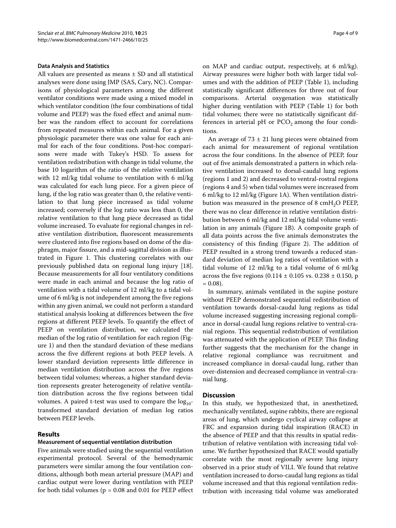#### **Data Analysis and Statistics**

All values are presented as means ± SD and all statistical analyses were done using JMP (SAS, Cary, NC). Comparisons of physiological parameters among the different ventilator conditions were made using a mixed model in which ventilator condition (the four combinations of tidal volume and PEEP) was the fixed effect and animal number was the random effect to account for correlations from repeated measures within each animal. For a given physiologic parameter there was one value for each animal for each of the four conditions. Post-hoc comparisons were made with Tukey's HSD. To assess for ventilation redistribution with change in tidal volume, the base 10 logarithm of the ratio of the relative ventilation with 12 ml/kg tidal volume to ventilation with 6 ml/kg was calculated for each lung piece. For a given piece of lung, if the log ratio was greater than 0, the relative ventilation to that lung piece increased as tidal volume increased; conversely if the log ratio was less than 0, the relative ventilation to that lung piece decreased as tidal volume increased. To evaluate for regional changes in relative ventilation distribution, fluorescent measurements were clustered into five regions based on dome of the diaphragm, major fissure, and a mid-sagittal division as illustrated in Figure [1.](#page-4-0) This clustering correlates with our previously published data on regional lung injury [\[18](#page-7-15)]. Because measurements for all four ventilatory conditions were made in each animal and because the log ratio of ventilation with a tidal volume of 12 ml/kg to a tidal volume of 6 ml/kg is not independent among the five regions within any given animal, we could not perform a standard statistical analysis looking at differences between the five regions at different PEEP levels. To quantify the effect of PEEP on ventilation distribution, we calculated the median of the log ratio of ventilation for each region (Figure [1](#page-4-0)) and then the standard deviation of these medians across the five different regions at both PEEP levels. A lower standard deviation represents little difference in median ventilation distribution across the five regions between tidal volumes; whereas, a higher standard deviation represents greater heterogeneity of relative ventilation distribution across the five regions between tidal volumes. A paired t-test was used to compare the  $log_{10}$ transformed standard deviation of median log ratios between PEEP levels.

## **Results**

## **Measurement of sequential ventilation distribution**

Five animals were studied using the sequential ventilation experimental protocol. Several of the hemodynamic parameters were similar among the four ventilation conditions, although both mean arterial pressure (MAP) and cardiac output were lower during ventilation with PEEP for both tidal volumes ( $p = 0.08$  and 0.01 for PEEP effect

on MAP and cardiac output, respectively, at 6 ml/kg). Airway pressures were higher both with larger tidal volumes and with the addition of PEEP (Table 1), including statistically significant differences for three out of four comparisons. Arterial oxygenation was statistically higher during ventilation with PEEP (Table 1) for both tidal volumes; there were no statistically significant differences in arterial pH or  $PCO<sub>2</sub>$  among the four conditions.

An average of  $73 \pm 21$  lung pieces were obtained from each animal for measurement of regional ventilation across the four conditions. In the absence of PEEP, four out of five animals demonstrated a pattern in which relative ventilation increased to dorsal-caudal lung regions (regions 1 and 2) and decreased to ventral-rostral regions (regions 4 and 5) when tidal volumes were increased from 6 ml/kg to 12 ml/kg (Figure [1A](#page-4-0)). When ventilation distribution was measured in the presence of  $8 \text{ cm}H_2O$  PEEP, there was no clear difference in relative ventilation distribution between 6 ml/kg and 12 ml/kg tidal volume ventilation in any animals (Figure [1B](#page-4-0)). A composite graph of all data points across the five animals demonstrates the consistency of this finding (Figure [2](#page-5-0)). The addition of PEEP resulted in a strong trend towards a reduced standard deviation of median log ratios of ventilation with a tidal volume of 12 ml/kg to a tidal volume of 6 ml/kg across the five regions  $(0.114 \pm 0.105 \text{ vs. } 0.238 \pm 0.150, \text{ p})$  $= 0.08$ ).

In summary, animals ventilated in the supine posture without PEEP demonstrated sequential redistribution of ventilation towards dorsal-caudal lung regions as tidal volume increased suggesting increasing regional compliance in dorsal-caudal lung regions relative to ventral-cranial regions. This sequential redistribution of ventilation was attenuated with the application of PEEP. This finding further suggests that the mechanism for the change in relative regional compliance was recruitment and increased compliance in dorsal-caudal lung, rather than over-distension and decreased compliance in ventral-cranial lung.

## **Discussion**

In this study, we hypothesized that, in anesthetized, mechanically ventilated, supine rabbits, there are regional areas of lung, which undergo cyclical airway collapse at FRC and expansion during tidal inspiration (RACE) in the absence of PEEP and that this results in spatial redistribution of relative ventilation with increasing tidal volume. We further hypothesized that RACE would spatially correlate with the most regionally severe lung injury observed in a prior study of VILI. We found that relative ventilation increased to dorso-caudal lung regions as tidal volume increased and that this regional ventilation redistribution with increasing tidal volume was ameliorated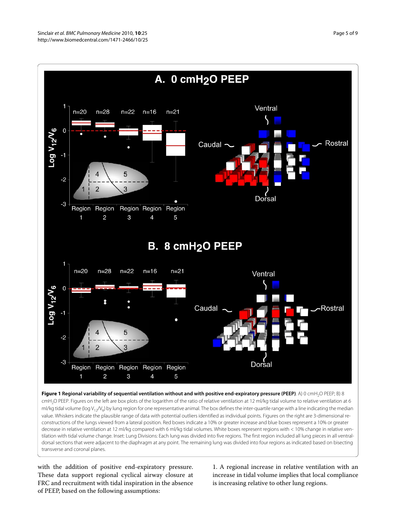<span id="page-4-0"></span>

**Figure 1 Regional variability of sequential ventilation without and with positive end-expiratory pressure (PEEP)**. A) 0 cmH<sub>2</sub>O PEEP; B) 8 cmH<sub>2</sub>O PEEP. Figures on the left are box plots of the logarithm of the ratio of relative ventilation at 12 ml/kg tidal volume to relative ventilation at 6 ml/kg tidal volume (log V<sub>12</sub>/V<sub>6</sub>) by lung region for one representative animal. The box defines the inter-quartile range with a line indicating the median value. Whiskers indicate the plausible range of data with potential outliers identified as individual points. Figures on the right are 3-dimensional reconstructions of the lungs viewed from a lateral position. Red boxes indicate a 10% or greater increase and blue boxes represent a 10% or greater decrease in relative ventilation at 12 ml/kg compared with 6 ml/kg tidal volumes. White boxes represent regions with < 10% change in relative ventilation with tidal volume change. Inset: Lung Divisions: Each lung was divided into five regions. The first region included all lung pieces in all ventraldorsal sections that were adjacent to the diaphragm at any point. The remaining lung was divided into four regions as indicated based on bisecting transverse and coronal planes.

with the addition of positive end-expiratory pressure. These data support regional cyclical airway closure at FRC and recruitment with tidal inspiration in the absence of PEEP, based on the following assumptions:

1. A regional increase in relative ventilation with an increase in tidal volume implies that local compliance is increasing relative to other lung regions.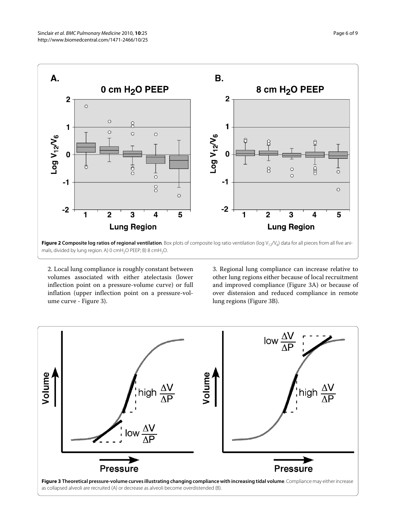<span id="page-5-0"></span>

mals, divided by lung region. A) 0 cmH<sub>2</sub>O PEEP; B) 8 cmH<sub>2</sub>O.

2. Local lung compliance is roughly constant between volumes associated with either atelectasis (lower inflection point on a pressure-volume curve) or full inflation (upper inflection point on a pressure-volume curve - Figure [3](#page-5-1)).

3. Regional lung compliance can increase relative to other lung regions either because of local recruitment and improved compliance (Figure [3A](#page-5-1)) or because of over distension and reduced compliance in remote lung regions (Figure [3B](#page-5-1)).

<span id="page-5-1"></span>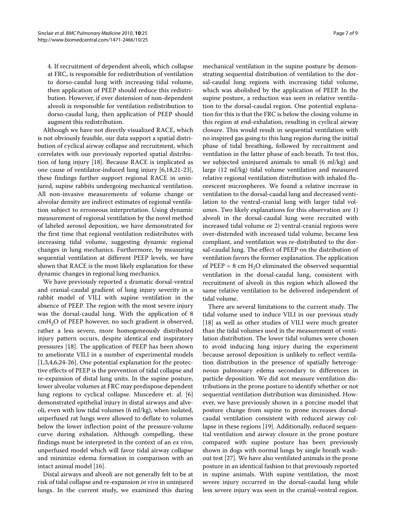4. If recruitment of dependent alveoli, which collapse at FRC, is responsible for redistribution of ventilation to dorso-caudal lung with increasing tidal volume, then application of PEEP should reduce this redistribution. However, if over distension of non-dependent alveoli is responsible for ventilation redistribution to dorso-caudal lung, then application of PEEP should augment this redistribution.

Although we have not directly visualized RACE, which is not obviously feasible, our data support a spatial distribution of cyclical airway collapse and recruitment, which correlates with our previously reported spatial distribution of lung injury [[18\]](#page-7-15). Because RACE is implicated as one cause of ventilator-induced lung injury [[6,](#page-7-3)[18,](#page-7-15)[21-](#page-8-1)[23](#page-8-2)], these findings further support regional RACE in uninjured, supine rabbits undergoing mechanical ventilation. All non-invasive measurements of volume change or alveolar density are indirect estimates of regional ventilation subject to erroneous interpretation. Using dynamic measurement of regional ventilation by the novel method of labeled aerosol deposition, we have demonstrated for the first time that regional ventilation redistributes with increasing tidal volume, suggesting dynamic regional changes in lung mechanics. Furthermore, by measuring sequential ventilation at different PEEP levels, we have shown that RACE is the most likely explanation for these dynamic changes in regional lung mechanics.

We have previously reported a dramatic dorsal-ventral and cranial-caudal gradient of lung injury severity in a rabbit model of VILI with supine ventilation in the absence of PEEP. The region with the most severe injury was the dorsal-caudal lung. With the application of 8  $cmH<sub>2</sub>O$  of PEEP however, no such gradient is observed, rather a less severe, more homogeneously distributed injury pattern occurs, despite identical end inspiratory pressures [\[18](#page-7-15)]. The application of PEEP has been shown to ameliorate VILI in a number of experimental models  $[1,3,4,6,24-26]$  $[1,3,4,6,24-26]$  $[1,3,4,6,24-26]$  $[1,3,4,6,24-26]$  $[1,3,4,6,24-26]$  $[1,3,4,6,24-26]$  $[1,3,4,6,24-26]$  $[1,3,4,6,24-26]$ . One potential explanation for the protective effects of PEEP is the prevention of tidal collapse and re-expansion of distal lung units. In the supine posture, lower alveolar volumes at FRC may predispose dependent lung regions to cyclical collapse. Muscedere et. al. [\[6](#page-7-3)] demonstrated epithelial injury in distal airways and alveoli, even with low tidal volumes (6 ml/kg), when isolated, unperfused rat lungs were allowed to deflate to volumes below the lower inflection point of the pressure-volume curve during exhalation. Although compelling, these findings must be interpreted in the context of an *ex vivo*, unperfused model which will favor tidal airway collapse and minimize edema formation in comparison with an intact animal model [[16\]](#page-7-13).

Distal airways and alveoli are not generally felt to be at risk of tidal collapse and re-expansion *in vivo* in uninjured lungs. In the current study, we examined this during

mechanical ventilation in the supine posture by demonstrating sequential distribution of ventilation to the dorsal-caudal lung regions with increasing tidal volume, which was abolished by the application of PEEP. In the supine posture, a reduction was seen in relative ventilation to the dorsal-caudal region. One potential explanation for this is that the FRC is below the closing volume in this region at end-exhalation, resulting in cyclical airway closure. This would result in sequential ventilation with no inspired gas going to this lung region during the initial phase of tidal breathing, followed by recruitment and ventilation in the latter phase of each breath. To test this, we subjected uninjured animals to small (6 ml/kg) and large (12 ml/kg) tidal volume ventilation and measured relative regional ventilation distribution with inhaled fluorescent microspheres. We found a relative increase in ventilation to the dorsal-caudal lung and decreased ventilation to the ventral-cranial lung with larger tidal volumes. Two likely explanations for this observation are 1) alveoli in the dorsal-caudal lung were recruited with increased tidal volume or 2) ventral-cranial regions were over-distended with increased tidal volume, became less compliant, and ventilation was re-distributed to the dorsal-caudal lung. The effect of PEEP on the distribution of ventilation favors the former explanation. The application of PEEP = 8 cm  $H_2O$  eliminated the observed sequential ventilation in the dorsal-caudal lung, consistent with recruitment of alveoli in this region which allowed the same relative ventilation to be delivered independent of tidal volume.

There are several limitations to the current study. The tidal volume used to induce VILI in our previous study [[18\]](#page-7-15) as well as other studies of VILI were much greater than the tidal volumes used in the measurement of ventilation distribution. The lower tidal volumes were chosen to avoid inducing lung injury during the experiment because aerosol deposition is unlikely to reflect ventilation distribution in the presence of spatially heterogeneous pulmonary edema secondary to differences in particle deposition. We did not measure ventilation distributions in the prone posture to identify whether or not sequential ventilation distribution was diminished. However, we have previously shown in a porcine model that posture change from supine to prone increases dorsalcaudal ventilation consistent with reduced airway collapse in these regions [[19\]](#page-7-16). Additionally, reduced sequential ventilation and airway closure in the prone posture compared with supine posture has been previously shown in dogs with normal lungs by single breath washout test [[27\]](#page-8-5). We have also ventilated animals in the prone posture in an identical fashion to that previously reported in supine animals. With supine ventilation, the most severe injury occurred in the dorsal-caudal lung while less severe injury was seen in the cranial-ventral region.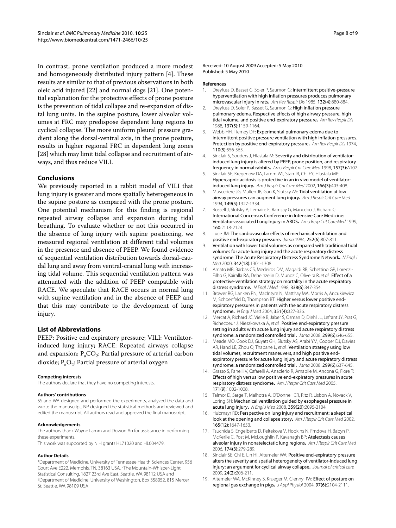In contrast, prone ventilation produced a more modest and homogeneously distributed injury pattern [[4\]](#page-7-17). These results are similar to that of previous observations in both oleic acid injured [[22](#page-8-6)] and normal dogs [[21\]](#page-8-1). One potential explanation for the protective effects of prone posture is the prevention of tidal collapse and re-expansion of distal lung units. In the supine posture, lower alveolar volumes at FRC may predispose dependent lung regions to cyclical collapse. The more uniform pleural pressure gradient along the dorsal-ventral axis, in the prone posture, results in higher regional FRC in dependent lung zones [[28\]](#page-8-7) which may limit tidal collapse and recruitment of airways, and thus reduce VILI.

## **Conclusions**

We previously reported in a rabbit model of VILI that lung injury is greater and more spatially heterogeneous in the supine posture as compared with the prone posture. One potential mechanism for this finding is regional repeated airway collapse and expansion during tidal breathing. To evaluate whether or not this occurred in the absence of lung injury with supine positioning, we measured regional ventilation at different tidal volumes in the presence and absence of PEEP. We found evidence of sequential ventilation distribution towards dorsal-caudal lung and away from ventral-cranial lung with increasing tidal volume. This sequential ventilation pattern was attenuated with the addition of PEEP compatible with RACE. We speculate that RACE occurs in normal lung with supine ventilation and in the absence of PEEP and that this may contribute to the development of lung injury.

## **List of Abbreviations**

PEEP: Positive end expiratory pressure; VILI: Ventilatorinduced lung injury; RACE: Repeated airways collapse and expansion;  $P_aCO_2$ : Partial pressure of arterial carbon dioxide;  $P_aO_2$ : Partial pressure of arterial oxygen

#### **Competing interests**

The authors declare that they have no competing interests.

#### **Authors' contributions**

SS and WA designed and performed the experiments, analyzed the data and wrote the manuscript. NP designed the statistical methods and reviewed and edited the manuscript. All authors read and approved the final manuscript.

#### **Acknowledgements**

The authors thank Wayne Lamm and Dowon An for assistance in performing these experiments.

This work was supported by NIH grants HL71020 and HL004479.

#### **Author Details**

1Department of Medicine, University of Tennessee Health Sciences Center, 956 Court Ave E222, Memphis, TN, 38163 USA, 2The Mountain-Whisper-Light Statistical Consulting, 1827 23rd Ave East, Seattle, WA 98112 USA and 3Department of Medicine, University of Washington, Box 358052, 815 Mercer St, Seattle, WA 98109 USA

Received: 10 August 2009 Accepted: 5 May 2010 Published: 5 May 2010

#### **References**

- <span id="page-7-0"></span>1. Dreyfuss D, Basset G, Soler P, Saumon G: Intermittent positive-pressure hyperventilation with high inflation pressures produces pulmonary microvascular injury in rats**.** Am Rev Respir Dis 1985, 132(4):880-884.
- 2. Dreyfuss D, Soler P, Basset G, Saumon G: High inflation pressure pulmonary edema. Respective effects of high airway pressure, high tidal volume, and positive end-expiratory pressure**.** Am Rev Respir Dis 1988, 137(5):1159-1164.
- <span id="page-7-1"></span>3. Webb HH, Tierney DF: Experimental pulmonary edema due to intermittent positive pressure ventilation with high inflation pressures. Protection by positive end-expiratory pressure**.** Am Rev Respir Dis 1974, 110(5):556-565.
- <span id="page-7-17"></span>4. Sinclair S, Souders J, Hlastala M: Severity and distribution of ventilatorinduced lung injury is altered by PEEP, prone position, and respiratory frequency in normal rabbits**.** Am J Respir Crit Care Med 1998, 157(3):A107.
- <span id="page-7-2"></span>5. Sinclair SE, Kregenow DA, Lamm WJ, Starr IR, Chi EY, Hlastala MP: Hypercapnic acidosis is protective in an in vivo model of ventilatorinduced lung injury**.** Am J Respir Crit Care Med 2002, 166(3):403-408.
- <span id="page-7-3"></span>6. Muscedere JG, Mullen JB, Gan K, Slutsky AS: Tidal ventilation at low airway pressures can augment lung injury**.** Am J Respir Crit Care Med 1994, 149(5):1327-1334.
- <span id="page-7-4"></span>7. Russell J, Slutsky A, Lemaire F, Ramsay G, Mancebo J, Richard C: International Concensus Conference in Intensive Care Medicine: Ventilator-associated Lung Injury in ARDS**.** Am J Resp Crit Care Med 1999, 160:2118-2124.
- <span id="page-7-5"></span>8. Luce JM: The cardiovascular effects of mechanical ventilation and positive end-expiratory pressure**.** Jama 1984, 252(6):807-811.
- <span id="page-7-6"></span>9. Ventilation with lower tidal volumes as compared with traditional tidal volumes for acute lung injury and the acute respiratory distress syndrome. The Acute Respiratory Distress Syndrome Network. NEngl J Med 2000, 342(18):1301-1308.
- <span id="page-7-7"></span>10. Amato MB, Barbas CS, Medeiros DM, Magaldi RB, Schettino GP, Lorenzi-Filho G, Kairalla RA, Deheinzelin D, Munoz C, Oliveira R, et al.: Effect of a protective-ventilation strategy on mortality in the acute respiratory distress syndrome**.** N Engl J Med 1998, 338(6):347-354.
- <span id="page-7-8"></span>11. Brower RG, Lanken PN, MacIntyre N, Matthay MA, Morris A, Ancukiewicz M, Schoenfeld D, Thompson BT: Higher versus lower positive endexpiratory pressures in patients with the acute respiratory distress syndrome**.** N Engl J Med 2004, 351(4):327-336.
- <span id="page-7-9"></span>12. Mercat A, Richard JC, Vielle B, Jaber S, Osman D, Diehl JL, Lefrant JY, Prat G, Richecoeur J, Nieszkowska A, et al.: Positive end-expiratory pressure setting in adults with acute lung injury and acute respiratory distress syndrome: a randomized controlled trial**[.](http://www.ncbi.nlm.nih.gov/entrez/query.fcgi?cmd=Retrieve&db=PubMed&dopt=Abstract&list_uids=18270353)** Jama 2008, 299(6):646-655.
- <span id="page-7-10"></span>13. Meade MO, Cook DJ, Guyatt GH, Slutsky AS, Arabi YM, Cooper DJ, Davies AR, Hand LE, Zhou O, Thabane L, et al.: Ventilation strategy using low tidal volumes, recruitment maneuvers, and high positive endexpiratory pressure for acute lung injury and acute respiratory distress syndrome: a randomized controlled trial**[.](http://www.ncbi.nlm.nih.gov/entrez/query.fcgi?cmd=Retrieve&db=PubMed&dopt=Abstract&list_uids=18270352)** Jama 2008, 299(6):637-645.
- <span id="page-7-11"></span>14. Grasso S, Fanelli V, Cafarelli A, Anaclerio R, Amabile M, Ancona G, Fiore T: Effects of high versus low positive end-expiratory pressures in acute respiratory distress syndrome**.** Am J Respir Crit Care Med 2005, 171(9):1002-1008.
- <span id="page-7-12"></span>15. Talmor D, Sarge T, Malhotra A, O'Donnell CR, Ritz R, Lisbon A, Novack V, Loring SH: Mechanical ventilation guided by esophageal pressure in acute lung injury**[.](http://www.ncbi.nlm.nih.gov/entrez/query.fcgi?cmd=Retrieve&db=PubMed&dopt=Abstract&list_uids=19001507)** N Engl J Med 2008, 359(20):2095-2104.
- <span id="page-7-13"></span>16. Hubmayr RD: Perspective on lung injury and recruitment: a skeptical look at the opening and collapse story. Am J Respir Crit Care Med 2002, 165(12):1647-1653.
- <span id="page-7-14"></span>17. Tsuchida S, Engelberts D, Peltekova V, Hopkins N, Frndova H, Babyn P, McKerlie C, Post M, McLoughlin P, Kavanagh BP: Atelectasis causes alveolar injury in nonatelectatic lung regions**.** Am J Respir Crit Care Med 2006, 174(3):279-289.
- <span id="page-7-15"></span>18. Sinclair SE, Chi E, Lin HI, Altemeier WA: Positive end-expiratory pressure alters the severity and spatial heterogeneity of ventilator-induced lung injury: an argument for cyclical airway collapse**.** Journal of critical care 2009, 24(2):206-211.
- <span id="page-7-16"></span>19. Altemeier WA, McKinney S, Krueger M, Glenny RW: Effect of posture on regional gas exchange in pigs**.** J Appl Physiol 2004, 97(6):2104-2111.